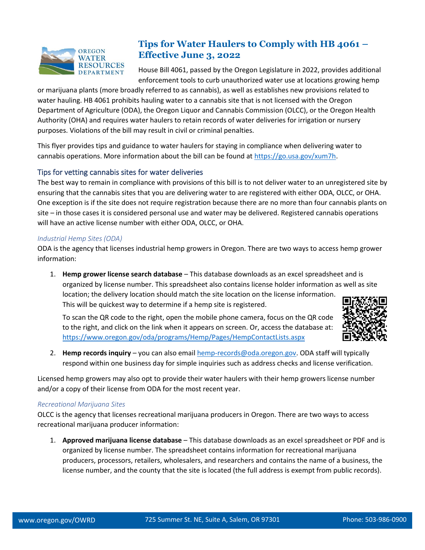

# **Tips for Water Haulers to Comply with HB 4061 – Effective June 3, 2022**

House Bill 4061, passed by the Oregon Legislature in 2022, provides additional enforcement tools to curb unauthorized water use at locations growing hemp

or marijuana plants (more broadly referred to as cannabis), as well as establishes new provisions related to water hauling. HB 4061 prohibits hauling water to a cannabis site that is not licensed with the Oregon Department of Agriculture (ODA), the Oregon Liquor and Cannabis Commission (OLCC), or the Oregon Health Authority (OHA) and requires water haulers to retain records of water deliveries for irrigation or nursery purposes. Violations of the bill may result in civil or criminal penalties.

This flyer provides tips and guidance to water haulers for staying in compliance when delivering water to cannabis operations. More information about the bill can be found a[t https://go.usa.gov/xum7h.](https://go.usa.gov/xum7h)

# Tips for vetting cannabis sites for water deliveries

The best way to remain in compliance with provisions of this bill is to not deliver water to an unregistered site by ensuring that the cannabis sites that you are delivering water to are registered with either ODA, OLCC, or OHA. One exception is if the site does not require registration because there are no more than four cannabis plants on site – in those cases it is considered personal use and water may be delivered. Registered cannabis operations will have an active license number with either ODA, OLCC, or OHA.

### *Industrial Hemp Sites (ODA)*

ODA is the agency that licenses industrial hemp growers in Oregon. There are two ways to access hemp grower information:

1. **Hemp grower license search database** – This database downloads as an excel spreadsheet and is organized by license number. This spreadsheet also contains license holder information as well as site location; the delivery location should match the site location on the license information. This will be quickest way to determine if a hemp site is registered.

To scan the QR code to the right, open the mobile phone camera, focus on the QR code to the right, and click on the link when it appears on screen. Or, access the database at: <https://www.oregon.gov/oda/programs/Hemp/Pages/HempContactLists.aspx>



2. **Hemp records inquiry** – you can also email [hemp-records@oda.oregon.gov.](mailto:hemp-records@oda.oregon.gov) ODA staff will typically respond within one business day for simple inquiries such as address checks and license verification.

Licensed hemp growers may also opt to provide their water haulers with their hemp growers license number and/or a copy of their license from ODA for the most recent year.

#### *Recreational Marijuana Sites*

OLCC is the agency that licenses recreational marijuana producers in Oregon. There are two ways to access recreational marijuana producer information:

1. **Approved marijuana license database** – This database downloads as an excel spreadsheet or PDF and is organized by license number. The spreadsheet contains information for recreational marijuana producers, processors, retailers, wholesalers, and researchers and contains the name of a business, the license number, and the county that the site is located (the full address is exempt from public records).